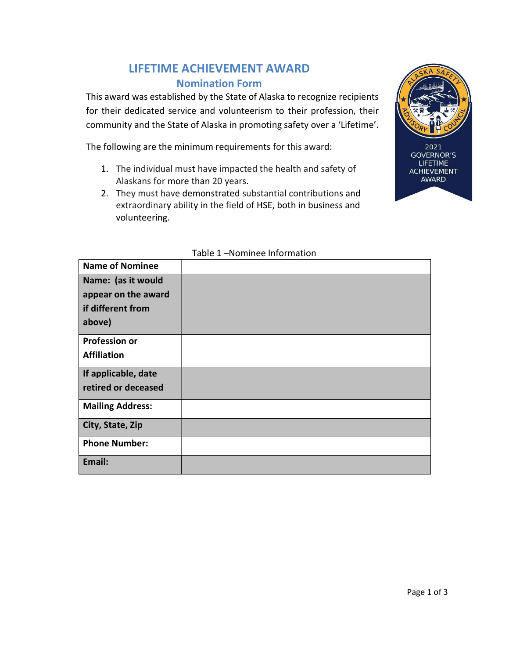# LIFETIME ACHIEVEMENT AWARD Nomination Form

This award was established by the State of Alaska to recognize recipients for their dedicated service and volunteerism to their profession, their community and the State of Alaska in promoting safety over a 'Lifetime'.

The following are the minimum requirements for this award:

- 1. The individual must have impacted the health and safety of Alaskans for more than 20 years.
- 2. They must have demonstrated substantial contributions and extraordinary ability in the field of HSE, both in business and volunteering.



2021 **GOVERNOR'S LIFETIME ACHIEVEMENT** AWARD

| <b>Name of Nominee</b>                    |  |
|-------------------------------------------|--|
| Name: (as it would<br>appear on the award |  |
| if different from                         |  |
| above)                                    |  |
| <b>Profession or</b>                      |  |
| <b>Affiliation</b>                        |  |
| If applicable, date                       |  |
| retired or deceased                       |  |
| <b>Mailing Address:</b>                   |  |
| City, State, Zip                          |  |
| <b>Phone Number:</b>                      |  |
| Email:                                    |  |

#### Table 1 –Nominee Information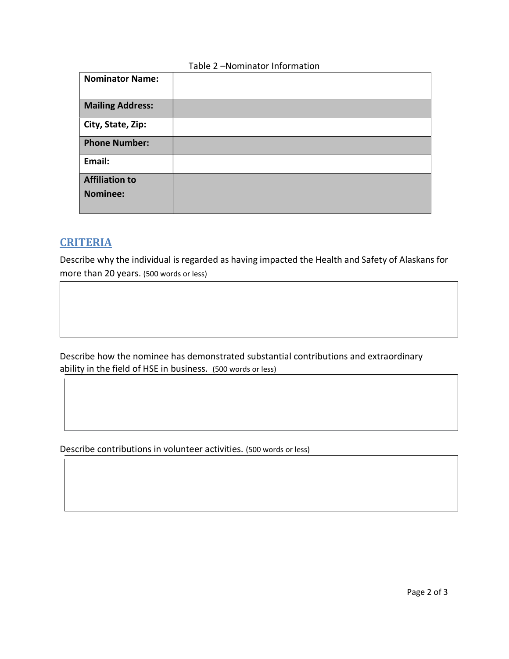### Table 2 –Nominator Information

| <b>Nominator Name:</b>  |  |
|-------------------------|--|
| <b>Mailing Address:</b> |  |
| City, State, Zip:       |  |
| <b>Phone Number:</b>    |  |
| Email:                  |  |
| <b>Affiliation to</b>   |  |
| <b>Nominee:</b>         |  |

## **CRITERIA**

Describe why the individual is regarded as having impacted the Health and Safety of Alaskans for more than 20 years. (500 words or less)

Describe how the nominee has demonstrated substantial contributions and extraordinary ability in the field of HSE in business. (500 words or less)

Describe contributions in volunteer activities. (500 words or less)